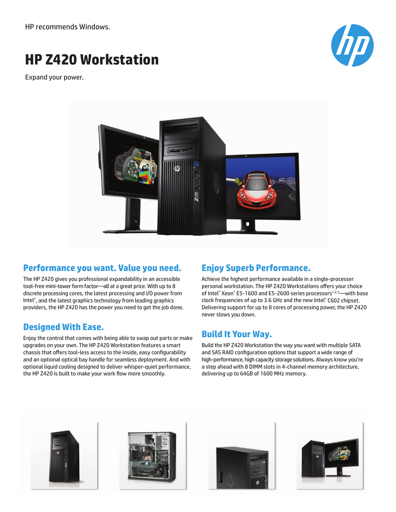HP recommends Windows.

# **HP Z420 Workstation**

Expand your power.





#### **Performance you want. Value you need.**

The HP Z420 gives you professional expandability in an accessible tool-free mini-tower form factor—all at a great price. With up to 8 discrete processing cores, the latest processing and I/O power from Intel®, and the latest graphics technology from leading graphics providers, the HP Z420 has the power you need to get the job done.

### **Designed With Ease.**

Enjoy the control that comes with being able to swap out parts or make upgrades on your own. The HP Z420 Workstation features a smart chassis that offers tool-less access to the inside, easy configurability and an optional optical bay handle for seamless deployment. And with optional liquid cooling designed to deliver whisper-quiet performance, the HP Z420 is built to make your work flow more smoothly.

## **Enjoy Superb Performance.**

Achieve the highest performance available in a single-processer personal workstation. The HP Z420 Workstations offers your choice of Intel® Xeon® E5-1600 and E5-2600 series processors<sup>1,2,3</sup>—with base clock frequencies of up to 3.6 GHz and the new Intel® C602 chipset. Delivering support for up to 8 cores of processing power, the HP Z420 never slows you down.

### **Build It Your Way.**

Build the HP Z420 Workstation the way you want with multiple SATA and SAS RAID configuration options that support a wide range of high-performance, high capacity storage solutions. Always know you're a step ahead with 8 DIMM slots in 4-channel memory architecture, delivering up to 64GB of 1600 MHz memory.